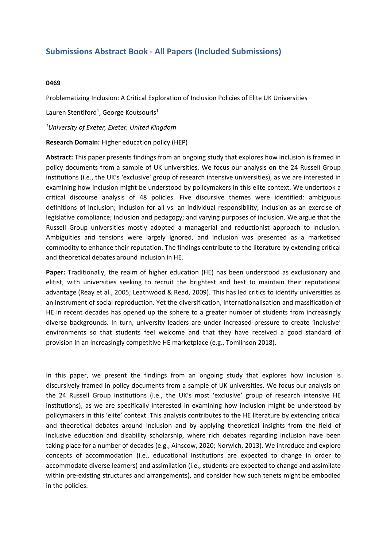## **Submissions Abstract Book - All Papers (Included Submissions)**

## **0469**

Problematizing Inclusion: A Critical Exploration of Inclusion Policies of Elite UK Universities

Lauren Stentiford<sup>1</sup>, George Koutsouris<sup>1</sup>

*1 University of Exeter, Exeter, United Kingdom*

**Research Domain:** Higher education policy (HEP)

**Abstract:** This paper presents findings from an ongoing study that explores how inclusion is framed in policy documents from <sup>a</sup> sample of UK universities. We focus our analysis on the 24 Russell Group institutions (i.e., the UK's 'exclusive' group of research intensive universities), as we are interested in examining how inclusion might be understood by policymakers in this elite context. We undertook <sup>a</sup> critical discourse analysis of 48 policies. Five discursive themes were identified: ambiguous definitions of inclusion; inclusion for all vs. an individual responsibility; inclusion as an exercise of legislative compliance; inclusion and pedagogy; and varying purposes of inclusion. We argue that the Russell Group universities mostly adopted <sup>a</sup> managerial and reductionist approach to inclusion. Ambiguities and tensions were largely ignored, and inclusion was presented as <sup>a</sup> marketised commodity to enhance their reputation. The findings contribute to the literature by extending critical and theoretical debates around inclusion in HE.

**Paper:** Traditionally, the realm of higher education (HE) has been understood as exclusionary and elitist, with universities seeking to recruit the brightest and best to maintain their reputational advantage (Reay et al., 2005; Leathwood & Read, 2009). This has led critics to identify universities as an instrument of social reproduction. Yet the diversification, internationalisation and massification of HE in recent decades has opened up the sphere to <sup>a</sup> greater number of students from increasingly diverse backgrounds. In turn, university leaders are under increased pressure to create 'inclusive' environments so that students feel welcome and that they have received <sup>a</sup> good standard of provision in an increasingly competitive HE marketplace (e.g., Tomlinson 2018).

In this paper, we present the findings from an ongoing study that explores how inclusion is discursively framed in policy documents from <sup>a</sup> sample of UK universities. We focus our analysis on the 24 Russell Group institutions (i.e., the UK's most 'exclusive' group of research intensive HE institutions), as we are specifically interested in examining how inclusion might be understood by policymakers in this 'elite' context. This analysis contributes to the HE literature by extending critical and theoretical debates around inclusion and by applying theoretical insights from the field of inclusive education and disability scholarship, where rich debates regarding inclusion have been taking place for <sup>a</sup> number of decades (e.g., Ainscow, 2020; Norwich, 2013). We introduce and explore concepts of accommodation (i.e., educational institutions are expected to change in order to accommodate diverse learners) and assimilation (i.e., students are expected to change and assimilate within pre-existing structures and arrangements), and consider how such tenets might be embodied in the policies.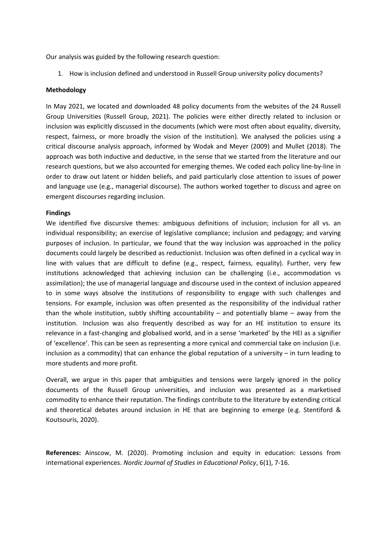Our analysis was guided by the following research question:

1. How is inclusion defined and understood in Russell Group university policy documents?

## **Methodology**

In May 2021, we located and downloaded 48 policy documents from the websites of the 24 Russell Group Universities (Russell Group, 2021). The policies were either directly related to inclusion or inclusion was explicitly discussed in the documents (which were most often about equality, diversity, respect, fairness, or more broadly the vision of the institution). We analysed the policies using <sup>a</sup> critical discourse analysis approach, informed by Wodak and Meyer (2009) and Mullet (2018). The approach was both inductive and deductive, in the sense that we started from the literature and our research questions, but we also accounted for emerging themes. We coded each policy line-by-line in order to draw out latent or hidden beliefs, and paid particularly close attention to issues of power and language use (e.g., managerial discourse). The authors worked together to discuss and agree on emergent discourses regarding inclusion.

## **Findings**

We identified five discursive themes: ambiguous definitions of inclusion; inclusion for all vs. an individual responsibility; an exercise of legislative compliance; inclusion and pedagogy; and varying purposes of inclusion. In particular, we found that the way inclusion was approached in the policy documents could largely be described as reductionist. Inclusion was often defined in <sup>a</sup> cyclical way in line with values that are difficult to define (e.g., respect, fairness, equality). Further, very few institutions acknowledged that achieving inclusion can be challenging (i.e., accommodation vs assimilation); the use of managerial language and discourse used in the context of inclusion appeared to in some ways absolve the institutions of responsibility to engage with such challenges and tensions. For example, inclusion was often presented as the responsibility of the individual rather than the whole institution, subtly shifting accountability – and potentially blame – away from the institution. Inclusion was also frequently described as way for an HE institution to ensure its relevance in <sup>a</sup> fast-changing and globalised world, and in <sup>a</sup> sense 'marketed' by the HEI as <sup>a</sup> signifier of 'excellence'. This can be seen as representing <sup>a</sup> more cynical and commercial take on inclusion (i.e. inclusion as <sup>a</sup> commodity) that can enhance the global reputation of <sup>a</sup> university – in turn leading to more students and more profit.

Overall, we argue in this paper that ambiguities and tensions were largely ignored in the policy documents of the Russell Group universities, and inclusion was presented as <sup>a</sup> marketised commodity to enhance their reputation. The findings contribute to the literature by extending critical and theoretical debates around inclusion in HE that are beginning to emerge (e.g. Stentiford & Koutsouris, 2020).

**References:** Ainscow, M. (2020). Promoting inclusion and equity in education: Lessons from international experiences. *Nordic Journal of Studies in Educational Policy*, 6(1), 7-16.